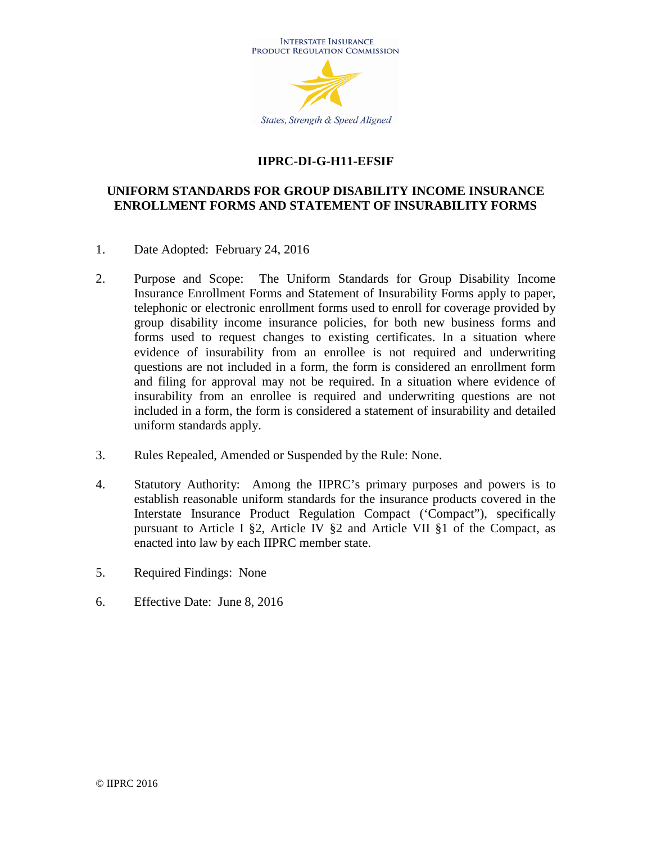

# **IIPRC-DI-G-H11-EFSIF**

## **UNIFORM STANDARDS FOR GROUP DISABILITY INCOME INSURANCE ENROLLMENT FORMS AND STATEMENT OF INSURABILITY FORMS**

- 1. Date Adopted: February 24, 2016
- 2. Purpose and Scope: The Uniform Standards for Group Disability Income Insurance Enrollment Forms and Statement of Insurability Forms apply to paper, telephonic or electronic enrollment forms used to enroll for coverage provided by group disability income insurance policies, for both new business forms and forms used to request changes to existing certificates. In a situation where evidence of insurability from an enrollee is not required and underwriting questions are not included in a form, the form is considered an enrollment form and filing for approval may not be required. In a situation where evidence of insurability from an enrollee is required and underwriting questions are not included in a form, the form is considered a statement of insurability and detailed uniform standards apply.
- 3. Rules Repealed, Amended or Suspended by the Rule: None.
- 4. Statutory Authority: Among the IIPRC's primary purposes and powers is to establish reasonable uniform standards for the insurance products covered in the Interstate Insurance Product Regulation Compact ('Compact"), specifically pursuant to Article I §2, Article IV §2 and Article VII §1 of the Compact, as enacted into law by each IIPRC member state.
- 5. Required Findings: None
- 6. Effective Date: June 8, 2016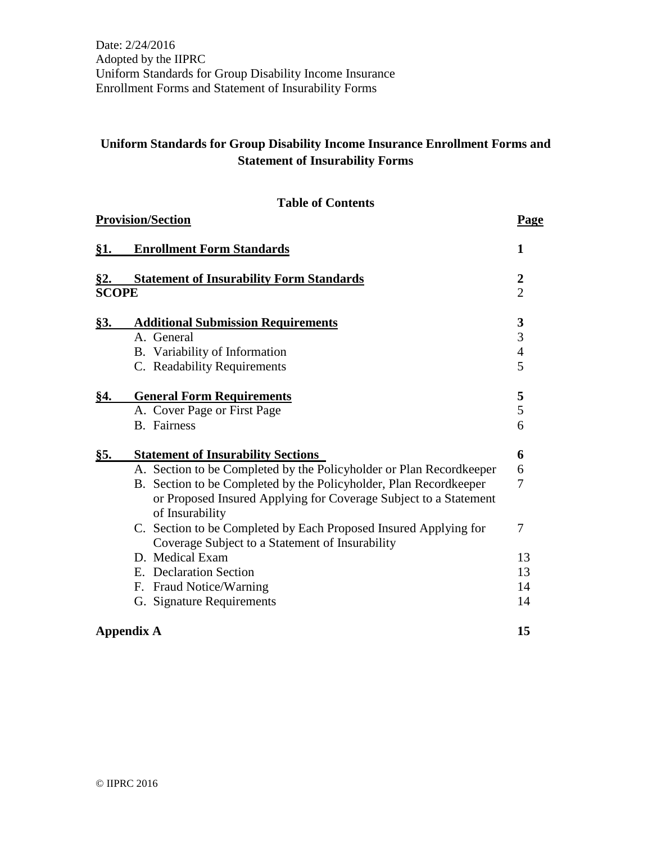# **Uniform Standards for Group Disability Income Insurance Enrollment Forms and Statement of Insurability Forms**

|  | <b>Table of Contents</b> |
|--|--------------------------|
|--|--------------------------|

|              | <b>Provision/Section</b>                                                            |                  |
|--------------|-------------------------------------------------------------------------------------|------------------|
| <u>§1.</u>   | <b>Enrollment Form Standards</b>                                                    | 1                |
| <u>§2.</u>   | <b>Statement of Insurability Form Standards</b>                                     | $\boldsymbol{2}$ |
| <b>SCOPE</b> |                                                                                     | $\overline{2}$   |
| <u>§3.</u>   | <b>Additional Submission Requirements</b>                                           | 3                |
|              | A. General                                                                          | 3                |
|              | B. Variability of Information                                                       | $\overline{4}$   |
|              | C. Readability Requirements                                                         | 5                |
| <u>§4.</u>   | <b>General Form Requirements</b>                                                    | 5                |
|              | A. Cover Page or First Page                                                         | 5                |
|              | <b>B.</b> Fairness                                                                  | 6                |
| §5.          | <b>Statement of Insurability Sections</b>                                           | 6                |
|              | A. Section to be Completed by the Policyholder or Plan Recordkeeper                 | 6                |
|              | B. Section to be Completed by the Policyholder, Plan Recordkeeper                   | 7                |
|              | or Proposed Insured Applying for Coverage Subject to a Statement<br>of Insurability |                  |
|              | C. Section to be Completed by Each Proposed Insured Applying for                    | 7                |
|              | Coverage Subject to a Statement of Insurability                                     |                  |
|              | D. Medical Exam                                                                     | 13               |
|              | E. Declaration Section                                                              | 13               |
|              | F. Fraud Notice/Warning                                                             | 14               |
|              | G. Signature Requirements                                                           | 14               |
|              | <b>Appendix A</b>                                                                   | 15               |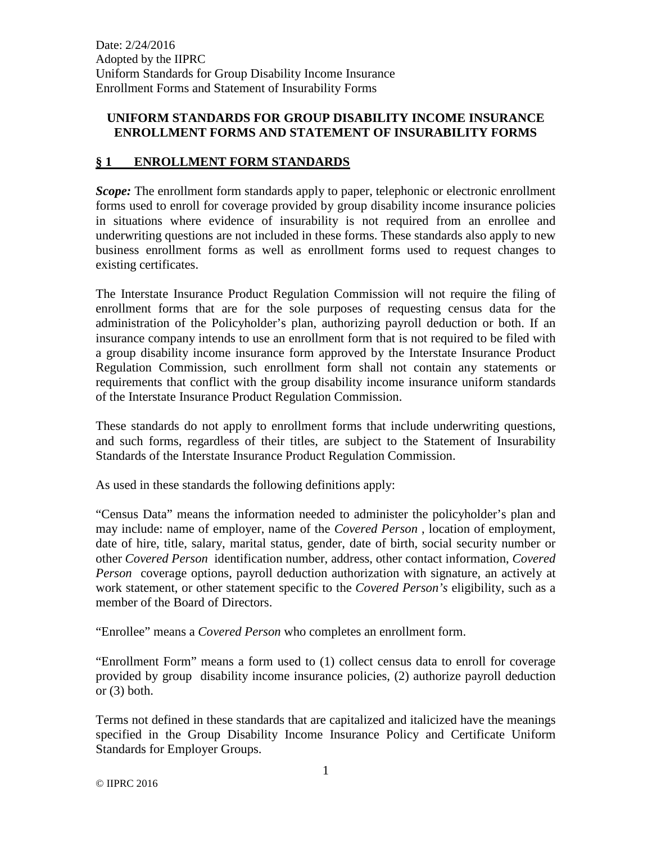## **UNIFORM STANDARDS FOR GROUP DISABILITY INCOME INSURANCE ENROLLMENT FORMS AND STATEMENT OF INSURABILITY FORMS**

## **§ 1 ENROLLMENT FORM STANDARDS**

*Scope:* The enrollment form standards apply to paper, telephonic or electronic enrollment forms used to enroll for coverage provided by group disability income insurance policies in situations where evidence of insurability is not required from an enrollee and underwriting questions are not included in these forms. These standards also apply to new business enrollment forms as well as enrollment forms used to request changes to existing certificates.

The Interstate Insurance Product Regulation Commission will not require the filing of enrollment forms that are for the sole purposes of requesting census data for the administration of the Policyholder's plan, authorizing payroll deduction or both. If an insurance company intends to use an enrollment form that is not required to be filed with a group disability income insurance form approved by the Interstate Insurance Product Regulation Commission, such enrollment form shall not contain any statements or requirements that conflict with the group disability income insurance uniform standards of the Interstate Insurance Product Regulation Commission.

These standards do not apply to enrollment forms that include underwriting questions, and such forms, regardless of their titles, are subject to the Statement of Insurability Standards of the Interstate Insurance Product Regulation Commission.

As used in these standards the following definitions apply:

"Census Data" means the information needed to administer the policyholder's plan and may include: name of employer, name of the *Covered Person* , location of employment, date of hire, title, salary, marital status, gender, date of birth, social security number or other *Covered Person* identification number, address, other contact information, *Covered Person* coverage options, payroll deduction authorization with signature, an actively at work statement, or other statement specific to the *Covered Person's* eligibility, such as a member of the Board of Directors.

"Enrollee" means a *Covered Person* who completes an enrollment form.

"Enrollment Form" means a form used to (1) collect census data to enroll for coverage provided by group disability income insurance policies, (2) authorize payroll deduction or  $(3)$  both.

Terms not defined in these standards that are capitalized and italicized have the meanings specified in the Group Disability Income Insurance Policy and Certificate Uniform Standards for Employer Groups.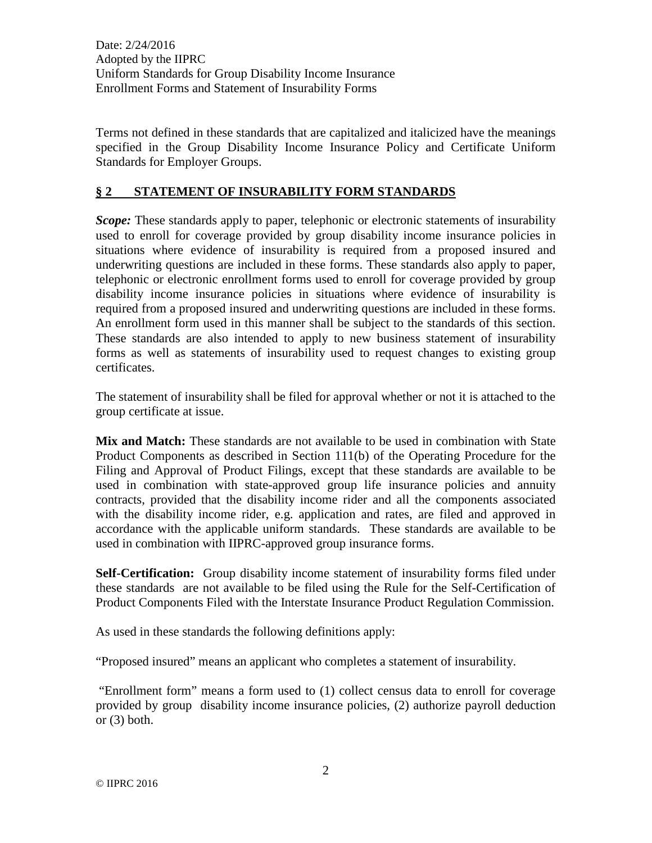Terms not defined in these standards that are capitalized and italicized have the meanings specified in the Group Disability Income Insurance Policy and Certificate Uniform Standards for Employer Groups.

## **§ 2 STATEMENT OF INSURABILITY FORM STANDARDS**

*Scope:* These standards apply to paper, telephonic or electronic statements of insurability used to enroll for coverage provided by group disability income insurance policies in situations where evidence of insurability is required from a proposed insured and underwriting questions are included in these forms. These standards also apply to paper, telephonic or electronic enrollment forms used to enroll for coverage provided by group disability income insurance policies in situations where evidence of insurability is required from a proposed insured and underwriting questions are included in these forms. An enrollment form used in this manner shall be subject to the standards of this section. These standards are also intended to apply to new business statement of insurability forms as well as statements of insurability used to request changes to existing group certificates.

The statement of insurability shall be filed for approval whether or not it is attached to the group certificate at issue.

**Mix and Match:** These standards are not available to be used in combination with State Product Components as described in Section 111(b) of the Operating Procedure for the Filing and Approval of Product Filings, except that these standards are available to be used in combination with state-approved group life insurance policies and annuity contracts, provided that the disability income rider and all the components associated with the disability income rider, e.g. application and rates, are filed and approved in accordance with the applicable uniform standards. These standards are available to be used in combination with IIPRC-approved group insurance forms.

**Self-Certification:** Group disability income statement of insurability forms filed under these standards are not available to be filed using the Rule for the Self-Certification of Product Components Filed with the Interstate Insurance Product Regulation Commission.

As used in these standards the following definitions apply:

"Proposed insured" means an applicant who completes a statement of insurability.

"Enrollment form" means a form used to (1) collect census data to enroll for coverage provided by group disability income insurance policies, (2) authorize payroll deduction or  $(3)$  both.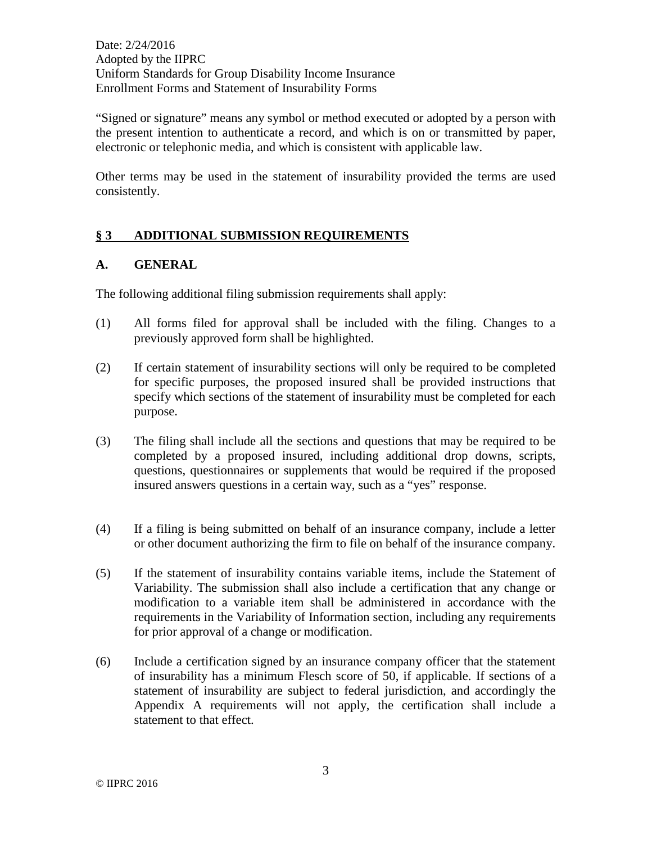"Signed or signature" means any symbol or method executed or adopted by a person with the present intention to authenticate a record, and which is on or transmitted by paper, electronic or telephonic media, and which is consistent with applicable law.

Other terms may be used in the statement of insurability provided the terms are used consistently.

# **§ 3 ADDITIONAL SUBMISSION REQUIREMENTS**

#### **A. GENERAL**

The following additional filing submission requirements shall apply:

- (1) All forms filed for approval shall be included with the filing. Changes to a previously approved form shall be highlighted.
- (2) If certain statement of insurability sections will only be required to be completed for specific purposes, the proposed insured shall be provided instructions that specify which sections of the statement of insurability must be completed for each purpose.
- (3) The filing shall include all the sections and questions that may be required to be completed by a proposed insured, including additional drop downs, scripts, questions, questionnaires or supplements that would be required if the proposed insured answers questions in a certain way, such as a "yes" response.
- (4) If a filing is being submitted on behalf of an insurance company, include a letter or other document authorizing the firm to file on behalf of the insurance company.
- (5) If the statement of insurability contains variable items, include the Statement of Variability. The submission shall also include a certification that any change or modification to a variable item shall be administered in accordance with the requirements in the Variability of Information section, including any requirements for prior approval of a change or modification.
- (6) Include a certification signed by an insurance company officer that the statement of insurability has a minimum Flesch score of 50, if applicable. If sections of a statement of insurability are subject to federal jurisdiction, and accordingly the Appendix A requirements will not apply, the certification shall include a statement to that effect.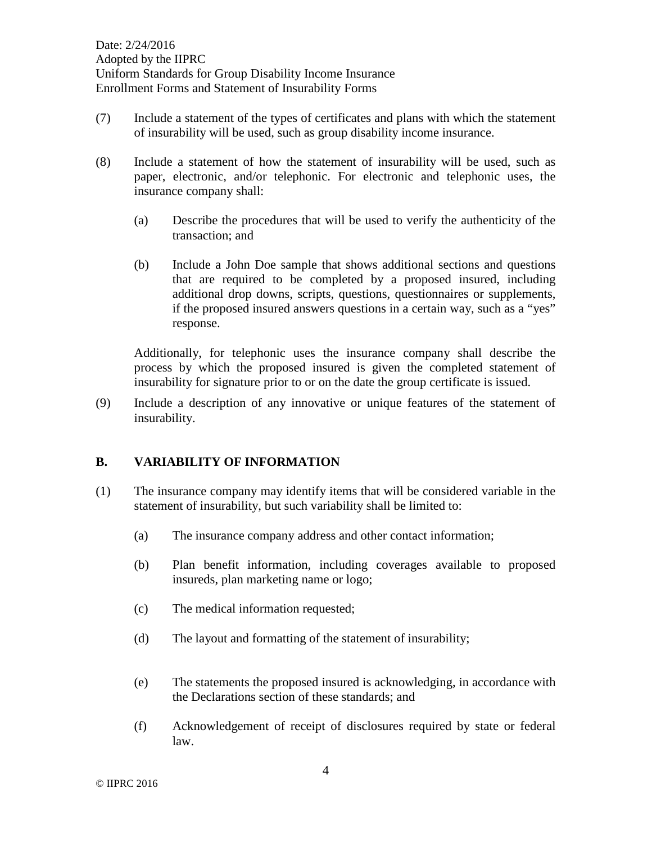- (7) Include a statement of the types of certificates and plans with which the statement of insurability will be used, such as group disability income insurance.
- (8) Include a statement of how the statement of insurability will be used, such as paper, electronic, and/or telephonic. For electronic and telephonic uses, the insurance company shall:
	- (a) Describe the procedures that will be used to verify the authenticity of the transaction; and
	- (b) Include a John Doe sample that shows additional sections and questions that are required to be completed by a proposed insured, including additional drop downs, scripts, questions, questionnaires or supplements, if the proposed insured answers questions in a certain way, such as a "yes" response.

Additionally, for telephonic uses the insurance company shall describe the process by which the proposed insured is given the completed statement of insurability for signature prior to or on the date the group certificate is issued.

(9) Include a description of any innovative or unique features of the statement of insurability.

## **B. VARIABILITY OF INFORMATION**

- (1) The insurance company may identify items that will be considered variable in the statement of insurability, but such variability shall be limited to:
	- (a) The insurance company address and other contact information;
	- (b) Plan benefit information, including coverages available to proposed insureds, plan marketing name or logo;
	- (c) The medical information requested;
	- (d) The layout and formatting of the statement of insurability;
	- (e) The statements the proposed insured is acknowledging, in accordance with the Declarations section of these standards; and
	- (f) Acknowledgement of receipt of disclosures required by state or federal law.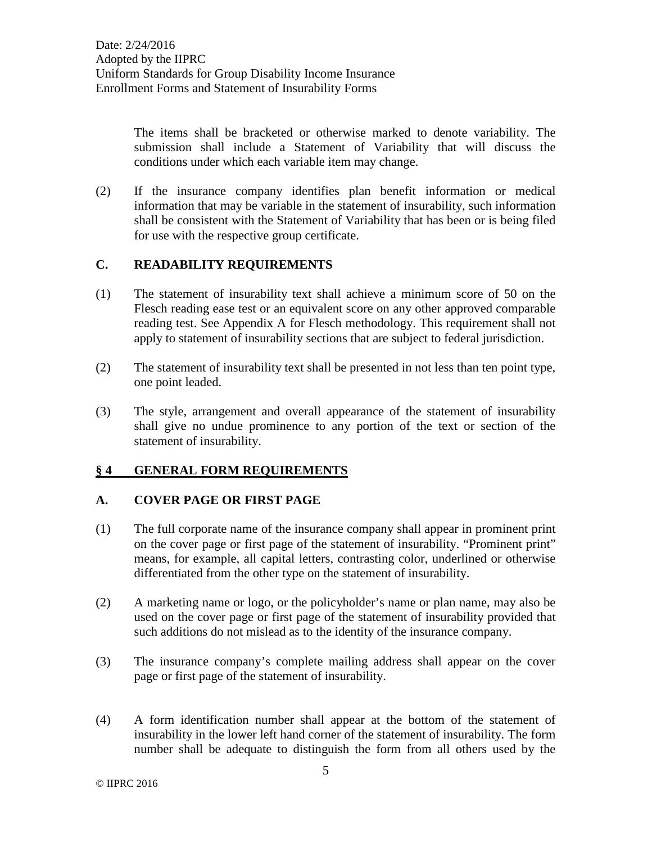The items shall be bracketed or otherwise marked to denote variability. The submission shall include a Statement of Variability that will discuss the conditions under which each variable item may change.

(2) If the insurance company identifies plan benefit information or medical information that may be variable in the statement of insurability, such information shall be consistent with the Statement of Variability that has been or is being filed for use with the respective group certificate.

## **C. READABILITY REQUIREMENTS**

- (1) The statement of insurability text shall achieve a minimum score of 50 on the Flesch reading ease test or an equivalent score on any other approved comparable reading test. See Appendix A for Flesch methodology. This requirement shall not apply to statement of insurability sections that are subject to federal jurisdiction.
- (2) The statement of insurability text shall be presented in not less than ten point type, one point leaded.
- (3) The style, arrangement and overall appearance of the statement of insurability shall give no undue prominence to any portion of the text or section of the statement of insurability.

## **§ 4 GENERAL FORM REQUIREMENTS**

## **A. COVER PAGE OR FIRST PAGE**

- (1) The full corporate name of the insurance company shall appear in prominent print on the cover page or first page of the statement of insurability. "Prominent print" means, for example, all capital letters, contrasting color, underlined or otherwise differentiated from the other type on the statement of insurability.
- (2) A marketing name or logo, or the policyholder's name or plan name, may also be used on the cover page or first page of the statement of insurability provided that such additions do not mislead as to the identity of the insurance company.
- (3) The insurance company's complete mailing address shall appear on the cover page or first page of the statement of insurability.
- (4) A form identification number shall appear at the bottom of the statement of insurability in the lower left hand corner of the statement of insurability. The form number shall be adequate to distinguish the form from all others used by the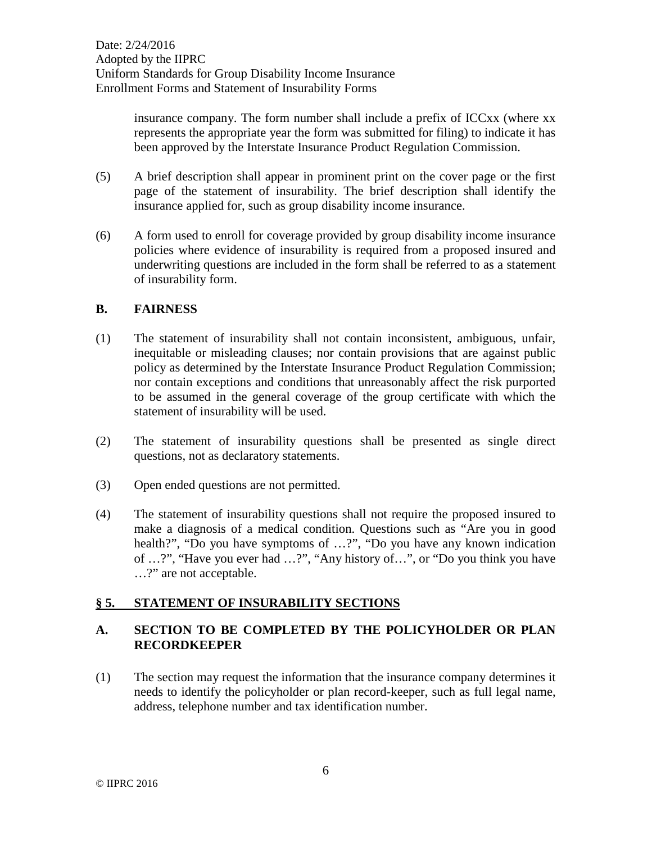insurance company. The form number shall include a prefix of ICCxx (where xx represents the appropriate year the form was submitted for filing) to indicate it has been approved by the Interstate Insurance Product Regulation Commission.

- (5) A brief description shall appear in prominent print on the cover page or the first page of the statement of insurability. The brief description shall identify the insurance applied for, such as group disability income insurance.
- (6) A form used to enroll for coverage provided by group disability income insurance policies where evidence of insurability is required from a proposed insured and underwriting questions are included in the form shall be referred to as a statement of insurability form.

#### **B. FAIRNESS**

- (1) The statement of insurability shall not contain inconsistent, ambiguous, unfair, inequitable or misleading clauses; nor contain provisions that are against public policy as determined by the Interstate Insurance Product Regulation Commission; nor contain exceptions and conditions that unreasonably affect the risk purported to be assumed in the general coverage of the group certificate with which the statement of insurability will be used.
- (2) The statement of insurability questions shall be presented as single direct questions, not as declaratory statements.
- (3) Open ended questions are not permitted.
- (4) The statement of insurability questions shall not require the proposed insured to make a diagnosis of a medical condition. Questions such as "Are you in good health?", "Do you have symptoms of …?", "Do you have any known indication of …?", "Have you ever had …?", "Any history of…", or "Do you think you have …?" are not acceptable.

# **§ 5. STATEMENT OF INSURABILITY SECTIONS**

#### **A. SECTION TO BE COMPLETED BY THE POLICYHOLDER OR PLAN RECORDKEEPER**

(1) The section may request the information that the insurance company determines it needs to identify the policyholder or plan record-keeper, such as full legal name, address, telephone number and tax identification number.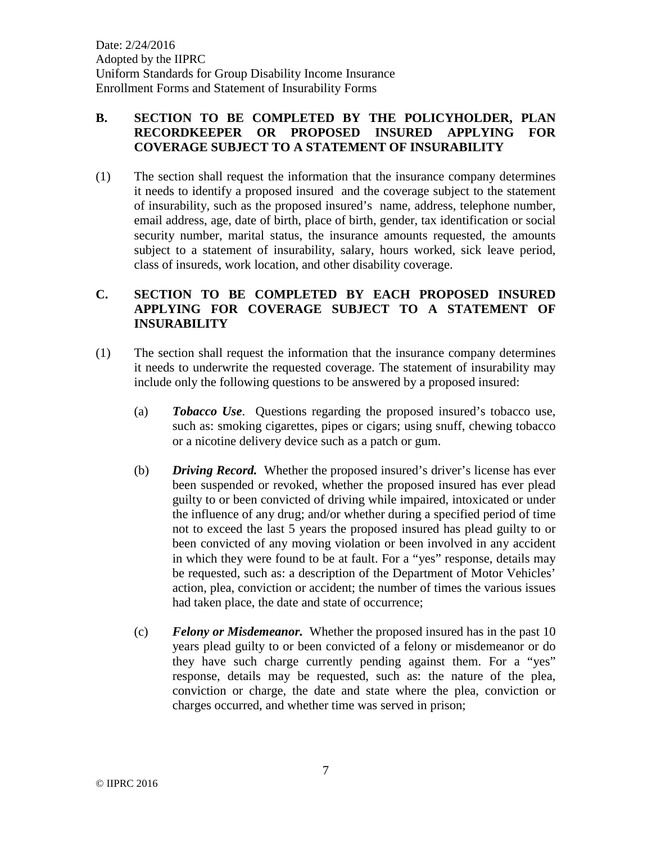## **B. SECTION TO BE COMPLETED BY THE POLICYHOLDER, PLAN RECORDKEEPER OR PROPOSED INSURED APPLYING FOR COVERAGE SUBJECT TO A STATEMENT OF INSURABILITY**

(1) The section shall request the information that the insurance company determines it needs to identify a proposed insured and the coverage subject to the statement of insurability, such as the proposed insured's name, address, telephone number, email address, age, date of birth, place of birth, gender, tax identification or social security number, marital status, the insurance amounts requested, the amounts subject to a statement of insurability, salary, hours worked, sick leave period, class of insureds, work location, and other disability coverage.

## **C. SECTION TO BE COMPLETED BY EACH PROPOSED INSURED APPLYING FOR COVERAGE SUBJECT TO A STATEMENT OF INSURABILITY**

- (1) The section shall request the information that the insurance company determines it needs to underwrite the requested coverage. The statement of insurability may include only the following questions to be answered by a proposed insured:
	- (a) *Tobacco Use*. Questions regarding the proposed insured's tobacco use, such as: smoking cigarettes, pipes or cigars; using snuff, chewing tobacco or a nicotine delivery device such as a patch or gum.
	- (b) *Driving Record.* Whether the proposed insured's driver's license has ever been suspended or revoked, whether the proposed insured has ever plead guilty to or been convicted of driving while impaired, intoxicated or under the influence of any drug; and/or whether during a specified period of time not to exceed the last 5 years the proposed insured has plead guilty to or been convicted of any moving violation or been involved in any accident in which they were found to be at fault. For a "yes" response, details may be requested, such as: a description of the Department of Motor Vehicles' action, plea, conviction or accident; the number of times the various issues had taken place, the date and state of occurrence;
	- (c) *Felony or Misdemeanor.* Whether the proposed insured has in the past 10 years plead guilty to or been convicted of a felony or misdemeanor or do they have such charge currently pending against them. For a "yes" response, details may be requested, such as: the nature of the plea, conviction or charge, the date and state where the plea, conviction or charges occurred, and whether time was served in prison;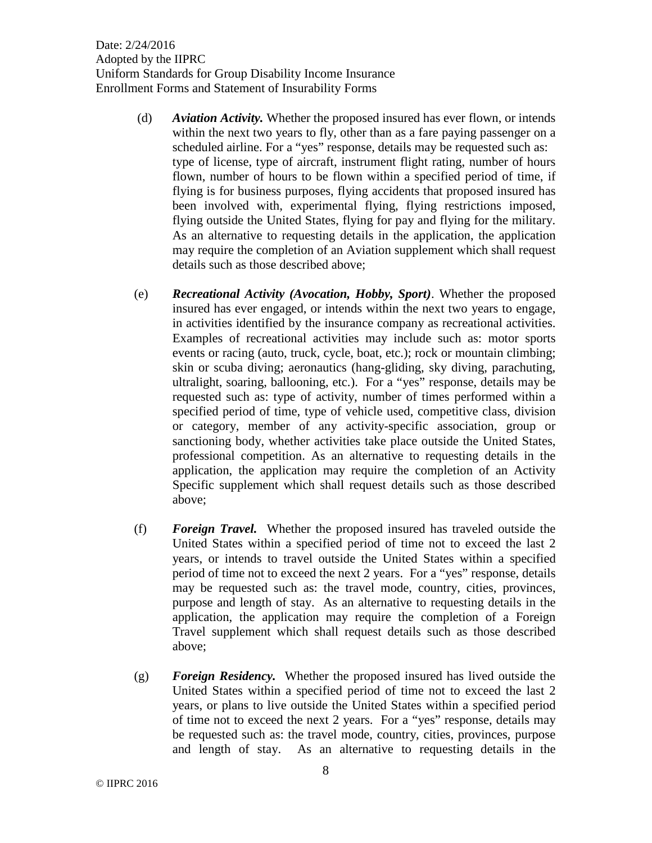- (d) *Aviation Activity.* Whether the proposed insured has ever flown, or intends within the next two years to fly, other than as a fare paying passenger on a scheduled airline. For a "yes" response, details may be requested such as: type of license, type of aircraft, instrument flight rating, number of hours flown, number of hours to be flown within a specified period of time, if flying is for business purposes, flying accidents that proposed insured has been involved with, experimental flying, flying restrictions imposed, flying outside the United States, flying for pay and flying for the military. As an alternative to requesting details in the application, the application may require the completion of an Aviation supplement which shall request details such as those described above;
- (e) *Recreational Activity (Avocation, Hobby, Sport)*. Whether the proposed insured has ever engaged, or intends within the next two years to engage, in activities identified by the insurance company as recreational activities. Examples of recreational activities may include such as: motor sports events or racing (auto, truck, cycle, boat, etc.); rock or mountain climbing; skin or scuba diving; aeronautics (hang-gliding, sky diving, parachuting, ultralight, soaring, ballooning, etc.). For a "yes" response, details may be requested such as: type of activity, number of times performed within a specified period of time, type of vehicle used, competitive class, division or category, member of any activity-specific association, group or sanctioning body, whether activities take place outside the United States, professional competition. As an alternative to requesting details in the application, the application may require the completion of an Activity Specific supplement which shall request details such as those described above;
- (f) *Foreign Travel.* Whether the proposed insured has traveled outside the United States within a specified period of time not to exceed the last 2 years, or intends to travel outside the United States within a specified period of time not to exceed the next 2 years. For a "yes" response, details may be requested such as: the travel mode, country, cities, provinces, purpose and length of stay. As an alternative to requesting details in the application, the application may require the completion of a Foreign Travel supplement which shall request details such as those described above;
- (g) *Foreign Residency.* Whether the proposed insured has lived outside the United States within a specified period of time not to exceed the last 2 years, or plans to live outside the United States within a specified period of time not to exceed the next 2 years. For a "yes" response, details may be requested such as: the travel mode, country, cities, provinces, purpose and length of stay. As an alternative to requesting details in the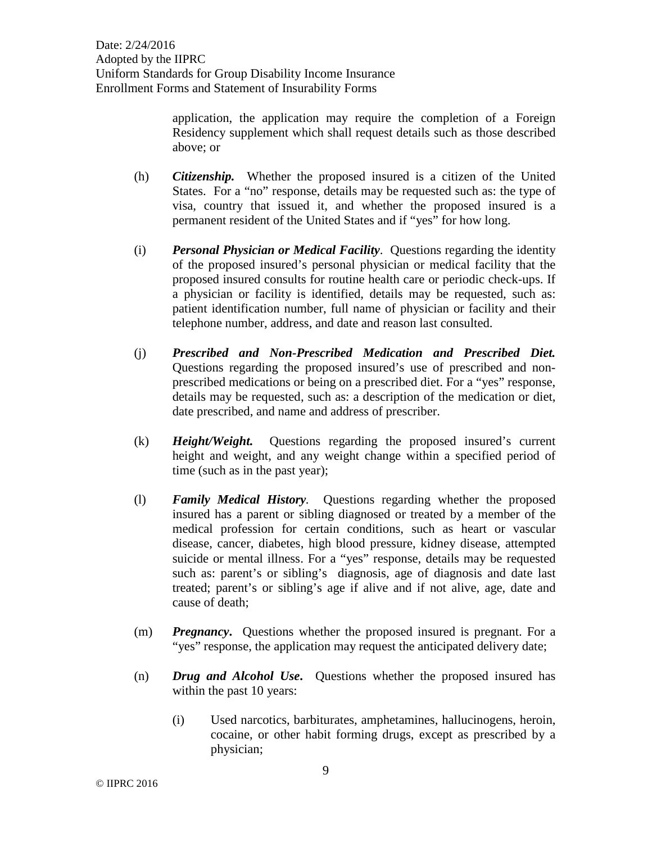> application, the application may require the completion of a Foreign Residency supplement which shall request details such as those described above; or

- (h) *Citizenship.* Whether the proposed insured is a citizen of the United States. For a "no" response, details may be requested such as: the type of visa, country that issued it, and whether the proposed insured is a permanent resident of the United States and if "yes" for how long.
- (i) *Personal Physician or Medical Facility*. Questions regarding the identity of the proposed insured's personal physician or medical facility that the proposed insured consults for routine health care or periodic check-ups. If a physician or facility is identified, details may be requested, such as: patient identification number, full name of physician or facility and their telephone number, address, and date and reason last consulted.
- (j) *Prescribed and Non-Prescribed Medication and Prescribed Diet.* Questions regarding the proposed insured's use of prescribed and nonprescribed medications or being on a prescribed diet. For a "yes" response, details may be requested, such as: a description of the medication or diet, date prescribed, and name and address of prescriber.
- (k) *Height/Weight.* Questions regarding the proposed insured's current height and weight, and any weight change within a specified period of time (such as in the past year);
- (l) *Family Medical History.* Questions regarding whether the proposed insured has a parent or sibling diagnosed or treated by a member of the medical profession for certain conditions, such as heart or vascular disease, cancer, diabetes, high blood pressure, kidney disease, attempted suicide or mental illness. For a "yes" response, details may be requested such as: parent's or sibling's diagnosis, age of diagnosis and date last treated; parent's or sibling's age if alive and if not alive, age, date and cause of death;
- (m) *Pregnancy***.** Questions whether the proposed insured is pregnant. For a "yes" response, the application may request the anticipated delivery date;
- (n) *Drug and Alcohol Use***.** Questions whether the proposed insured has within the past 10 years:
	- (i) Used narcotics, barbiturates, amphetamines, hallucinogens, heroin, cocaine, or other habit forming drugs, except as prescribed by a physician;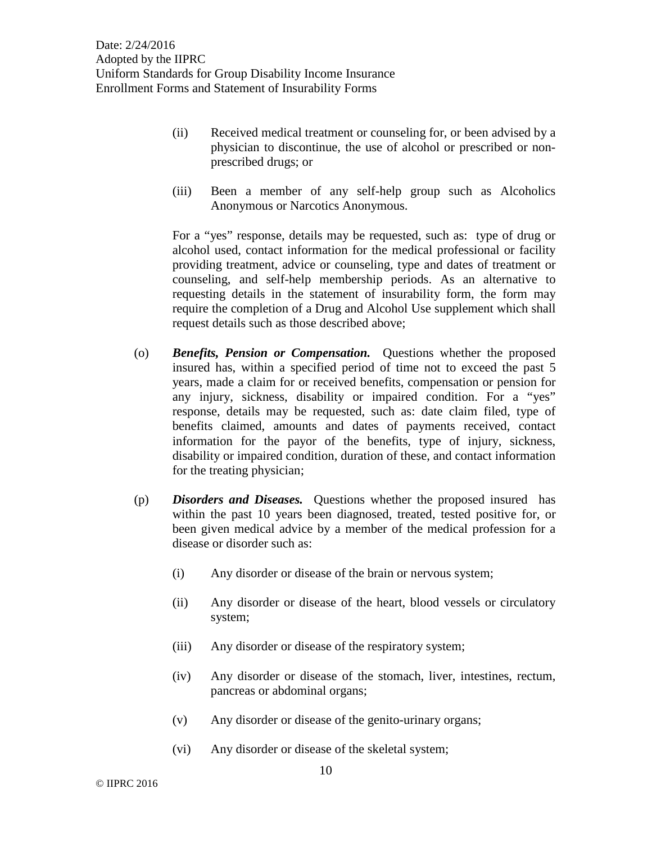- (ii) Received medical treatment or counseling for, or been advised by a physician to discontinue, the use of alcohol or prescribed or nonprescribed drugs; or
- (iii) Been a member of any self-help group such as Alcoholics Anonymous or Narcotics Anonymous.

For a "yes" response, details may be requested, such as: type of drug or alcohol used, contact information for the medical professional or facility providing treatment, advice or counseling, type and dates of treatment or counseling, and self-help membership periods. As an alternative to requesting details in the statement of insurability form, the form may require the completion of a Drug and Alcohol Use supplement which shall request details such as those described above;

- (o) *Benefits, Pension or Compensation.* Questions whether the proposed insured has, within a specified period of time not to exceed the past 5 years, made a claim for or received benefits, compensation or pension for any injury, sickness, disability or impaired condition. For a "yes" response, details may be requested, such as: date claim filed, type of benefits claimed, amounts and dates of payments received, contact information for the payor of the benefits, type of injury, sickness, disability or impaired condition, duration of these, and contact information for the treating physician;
- (p) *Disorders and Diseases.* Questions whether the proposed insured has within the past 10 years been diagnosed, treated, tested positive for, or been given medical advice by a member of the medical profession for a disease or disorder such as:
	- (i) Any disorder or disease of the brain or nervous system;
	- (ii) Any disorder or disease of the heart, blood vessels or circulatory system;
	- (iii) Any disorder or disease of the respiratory system;
	- (iv) Any disorder or disease of the stomach, liver, intestines, rectum, pancreas or abdominal organs;
	- (v) Any disorder or disease of the genito-urinary organs;
	- (vi) Any disorder or disease of the skeletal system;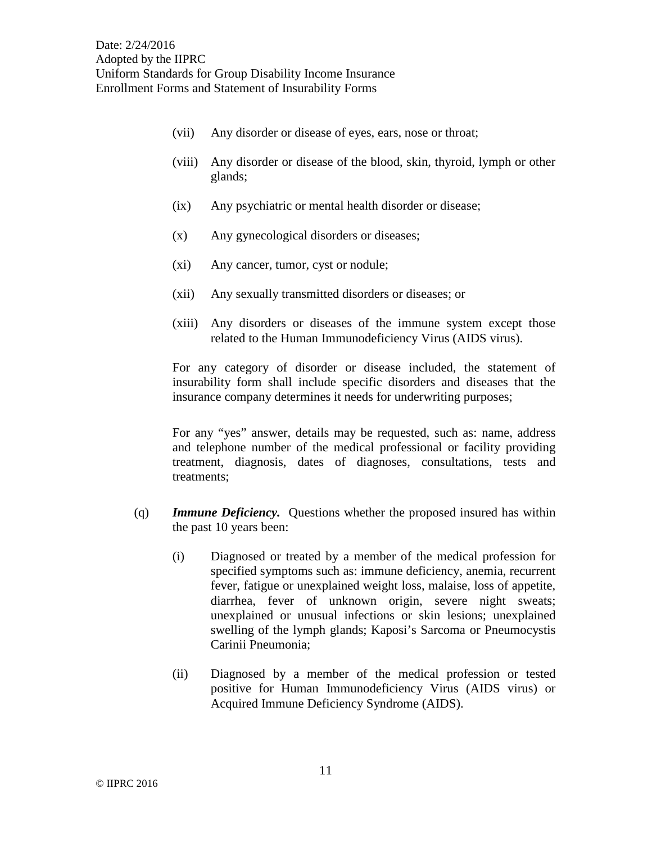- (vii) Any disorder or disease of eyes, ears, nose or throat;
- (viii) Any disorder or disease of the blood, skin, thyroid, lymph or other glands;
- (ix) Any psychiatric or mental health disorder or disease;
- (x) Any gynecological disorders or diseases;
- (xi) Any cancer, tumor, cyst or nodule;
- (xii) Any sexually transmitted disorders or diseases; or
- (xiii) Any disorders or diseases of the immune system except those related to the Human Immunodeficiency Virus (AIDS virus).

For any category of disorder or disease included, the statement of insurability form shall include specific disorders and diseases that the insurance company determines it needs for underwriting purposes;

For any "yes" answer, details may be requested, such as: name, address and telephone number of the medical professional or facility providing treatment, diagnosis, dates of diagnoses, consultations, tests and treatments;

- (q) *Immune Deficiency.* Questions whether the proposed insured has within the past 10 years been:
	- (i) Diagnosed or treated by a member of the medical profession for specified symptoms such as: immune deficiency, anemia, recurrent fever, fatigue or unexplained weight loss, malaise, loss of appetite, diarrhea, fever of unknown origin, severe night sweats; unexplained or unusual infections or skin lesions; unexplained swelling of the lymph glands; Kaposi's Sarcoma or Pneumocystis Carinii Pneumonia;
	- (ii) Diagnosed by a member of the medical profession or tested positive for Human Immunodeficiency Virus (AIDS virus) or Acquired Immune Deficiency Syndrome (AIDS).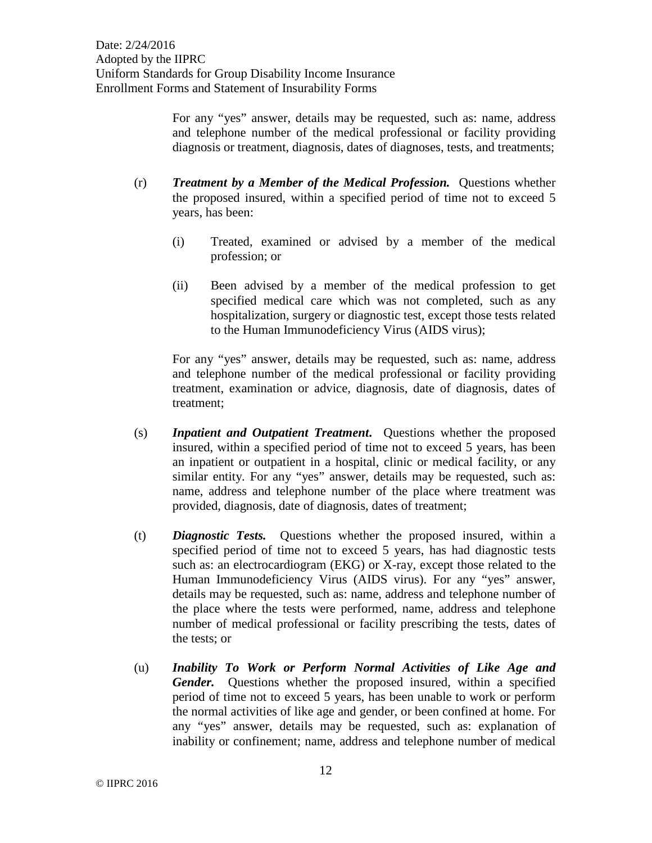For any "yes" answer, details may be requested, such as: name, address and telephone number of the medical professional or facility providing diagnosis or treatment, diagnosis, dates of diagnoses, tests, and treatments;

- (r) *Treatment by a Member of the Medical Profession.* Questions whether the proposed insured, within a specified period of time not to exceed 5 years, has been:
	- (i) Treated, examined or advised by a member of the medical profession; or
	- (ii) Been advised by a member of the medical profession to get specified medical care which was not completed, such as any hospitalization, surgery or diagnostic test, except those tests related to the Human Immunodeficiency Virus (AIDS virus);

For any "yes" answer, details may be requested, such as: name, address and telephone number of the medical professional or facility providing treatment, examination or advice, diagnosis, date of diagnosis, dates of treatment;

- (s) *Inpatient and Outpatient Treatment***.** Questions whether the proposed insured, within a specified period of time not to exceed 5 years, has been an inpatient or outpatient in a hospital, clinic or medical facility, or any similar entity. For any "yes" answer, details may be requested, such as: name, address and telephone number of the place where treatment was provided, diagnosis, date of diagnosis, dates of treatment;
- (t) *Diagnostic Tests.* Questions whether the proposed insured, within a specified period of time not to exceed 5 years, has had diagnostic tests such as: an electrocardiogram (EKG) or X-ray, except those related to the Human Immunodeficiency Virus (AIDS virus). For any "yes" answer, details may be requested, such as: name, address and telephone number of the place where the tests were performed, name, address and telephone number of medical professional or facility prescribing the tests, dates of the tests; or
- (u) *Inability To Work or Perform Normal Activities of Like Age and Gender.* Questions whether the proposed insured, within a specified period of time not to exceed 5 years, has been unable to work or perform the normal activities of like age and gender, or been confined at home. For any "yes" answer, details may be requested, such as: explanation of inability or confinement; name, address and telephone number of medical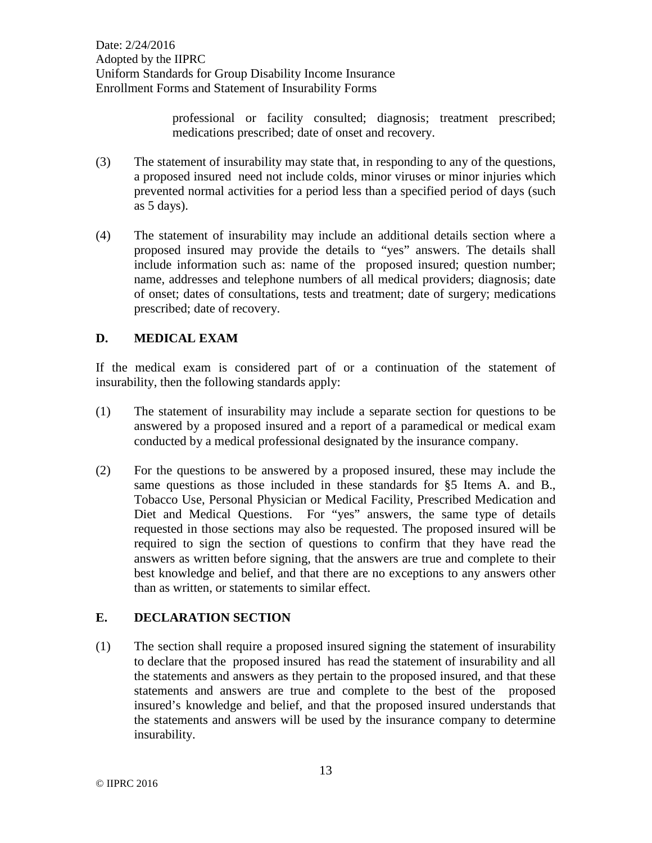> professional or facility consulted; diagnosis; treatment prescribed; medications prescribed; date of onset and recovery.

- (3) The statement of insurability may state that, in responding to any of the questions, a proposed insured need not include colds, minor viruses or minor injuries which prevented normal activities for a period less than a specified period of days (such as 5 days).
- (4) The statement of insurability may include an additional details section where a proposed insured may provide the details to "yes" answers. The details shall include information such as: name of the proposed insured; question number; name, addresses and telephone numbers of all medical providers; diagnosis; date of onset; dates of consultations, tests and treatment; date of surgery; medications prescribed; date of recovery.

## **D. MEDICAL EXAM**

If the medical exam is considered part of or a continuation of the statement of insurability, then the following standards apply:

- (1) The statement of insurability may include a separate section for questions to be answered by a proposed insured and a report of a paramedical or medical exam conducted by a medical professional designated by the insurance company.
- (2) For the questions to be answered by a proposed insured, these may include the same questions as those included in these standards for §5 Items A. and B., Tobacco Use, Personal Physician or Medical Facility, Prescribed Medication and Diet and Medical Questions. For "yes" answers, the same type of details requested in those sections may also be requested. The proposed insured will be required to sign the section of questions to confirm that they have read the answers as written before signing, that the answers are true and complete to their best knowledge and belief, and that there are no exceptions to any answers other than as written, or statements to similar effect.

## **E. DECLARATION SECTION**

(1) The section shall require a proposed insured signing the statement of insurability to declare that the proposed insured has read the statement of insurability and all the statements and answers as they pertain to the proposed insured, and that these statements and answers are true and complete to the best of the proposed insured's knowledge and belief, and that the proposed insured understands that the statements and answers will be used by the insurance company to determine insurability.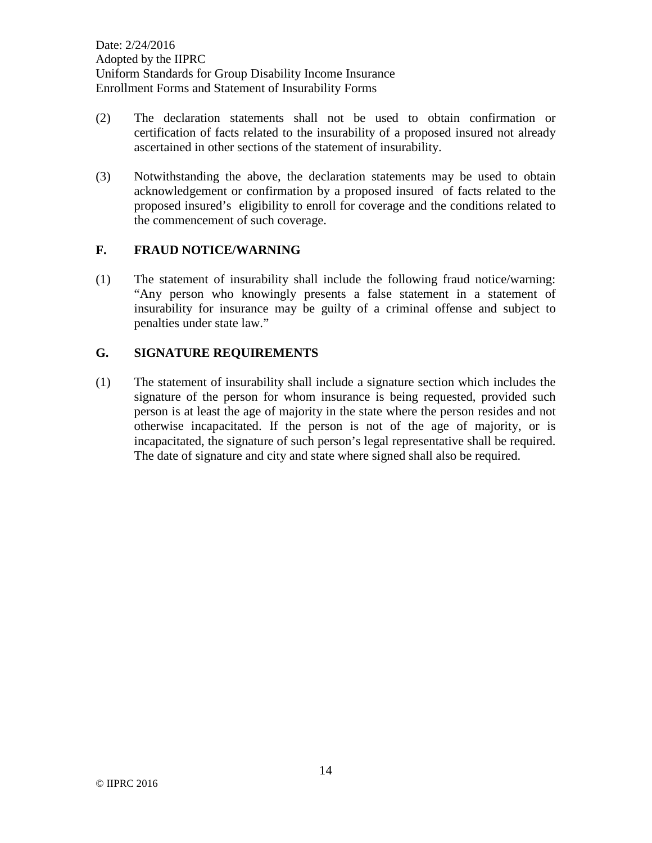- (2) The declaration statements shall not be used to obtain confirmation or certification of facts related to the insurability of a proposed insured not already ascertained in other sections of the statement of insurability.
- (3) Notwithstanding the above, the declaration statements may be used to obtain acknowledgement or confirmation by a proposed insured of facts related to the proposed insured's eligibility to enroll for coverage and the conditions related to the commencement of such coverage.

#### **F. FRAUD NOTICE/WARNING**

(1) The statement of insurability shall include the following fraud notice/warning: "Any person who knowingly presents a false statement in a statement of insurability for insurance may be guilty of a criminal offense and subject to penalties under state law."

#### **G. SIGNATURE REQUIREMENTS**

(1) The statement of insurability shall include a signature section which includes the signature of the person for whom insurance is being requested, provided such person is at least the age of majority in the state where the person resides and not otherwise incapacitated. If the person is not of the age of majority, or is incapacitated, the signature of such person's legal representative shall be required. The date of signature and city and state where signed shall also be required.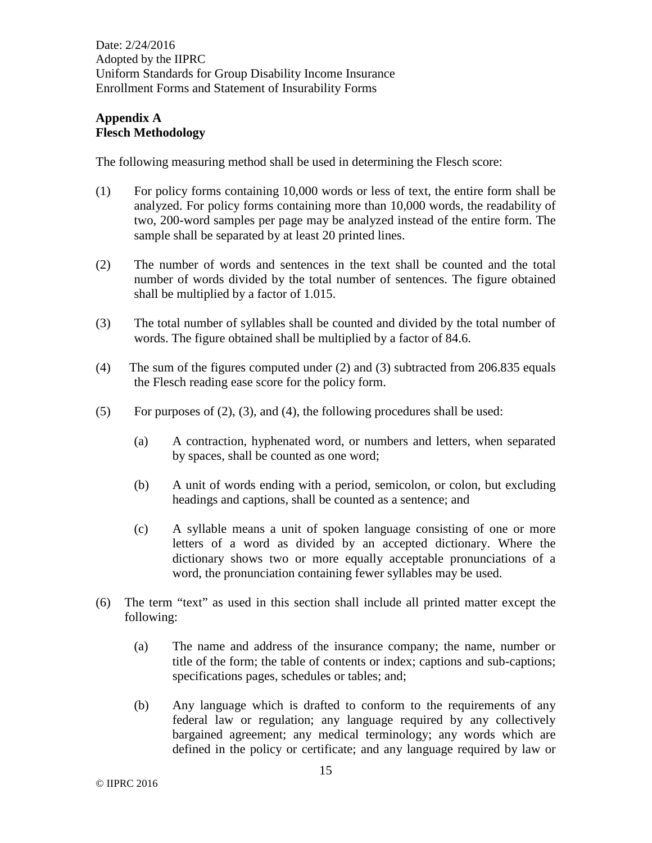# **Appendix A Flesch Methodology**

The following measuring method shall be used in determining the Flesch score:

- (1) For policy forms containing 10,000 words or less of text, the entire form shall be analyzed. For policy forms containing more than 10,000 words, the readability of two, 200-word samples per page may be analyzed instead of the entire form. The sample shall be separated by at least 20 printed lines.
- (2) The number of words and sentences in the text shall be counted and the total number of words divided by the total number of sentences. The figure obtained shall be multiplied by a factor of 1.015.
- (3) The total number of syllables shall be counted and divided by the total number of words. The figure obtained shall be multiplied by a factor of 84.6.
- (4) The sum of the figures computed under (2) and (3) subtracted from 206.835 equals the Flesch reading ease score for the policy form.
- (5) For purposes of  $(2)$ ,  $(3)$ , and  $(4)$ , the following procedures shall be used:
	- (a) A contraction, hyphenated word, or numbers and letters, when separated by spaces, shall be counted as one word;
	- (b) A unit of words ending with a period, semicolon, or colon, but excluding headings and captions, shall be counted as a sentence; and
	- (c) A syllable means a unit of spoken language consisting of one or more letters of a word as divided by an accepted dictionary. Where the dictionary shows two or more equally acceptable pronunciations of a word, the pronunciation containing fewer syllables may be used.
- (6) The term "text" as used in this section shall include all printed matter except the following:
	- (a) The name and address of the insurance company; the name, number or title of the form; the table of contents or index; captions and sub-captions; specifications pages, schedules or tables; and;
	- (b) Any language which is drafted to conform to the requirements of any federal law or regulation; any language required by any collectively bargained agreement; any medical terminology; any words which are defined in the policy or certificate; and any language required by law or